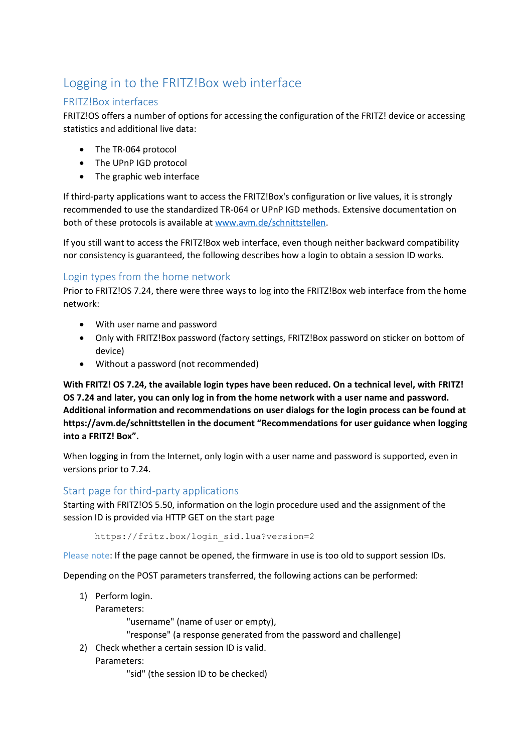# Logging in to the FRITZ!Box web interface

# FRITZ!Box interfaces

FRITZ!OS offers a number of options for accessing the configuration of the FRITZ! device or accessing statistics and additional live data:

- The TR-064 protocol
- The UPnP IGD protocol
- The graphic web interface

If third-party applications want to access the FRITZ!Box's configuration or live values, it is strongly recommended to use the standardized TR-064 or UPnP IGD methods. Extensive documentation on both of these protocols is available a[t www.avm.de/schnittstellen.](http://www.avm.de/schnittstellen)

If you still want to access the FRITZ!Box web interface, even though neither backward compatibility nor consistency is guaranteed, the following describes how a login to obtain a session ID works.

# Login types from the home network

Prior to FRITZ!OS 7.24, there were three ways to log into the FRITZ!Box web interface from the home network:

- With user name and password
- Only with FRITZ!Box password (factory settings, FRITZ!Box password on sticker on bottom of device)
- Without a password (not recommended)

**With FRITZ! OS 7.24, the available login types have been reduced. On a technical level, with FRITZ! OS 7.24 and later, you can only log in from the home network with a user name and password. Additional information and recommendations on user dialogs for the login process can be found at https://avm.de/schnittstellen in the document "Recommendations for user guidance when logging into a FRITZ! Box".**

When logging in from the Internet, only login with a user name and password is supported, even in versions prior to 7.24.

# Start page for third-party applications

Starting with FRITZ!OS 5.50, information on the login procedure used and the assignment of the session ID is provided via HTTP GET on the start page

https://fritz.box/login\_sid.lua?version=2

Please note: If the page cannot be opened, the firmware in use is too old to support session IDs.

Depending on the POST parameters transferred, the following actions can be performed:

- 1) Perform login.
	- Parameters:

"username" (name of user or empty),

"response" (a response generated from the password and challenge)

2) Check whether a certain session ID is valid. Parameters:

"sid" (the session ID to be checked)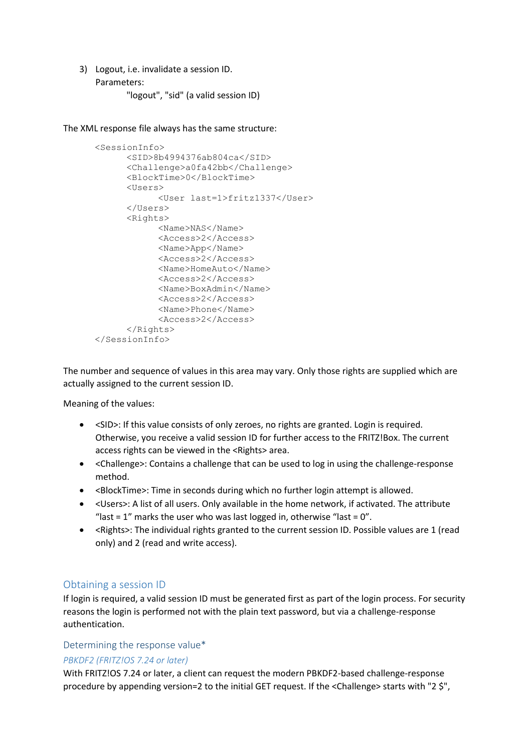3) Logout, i.e. invalidate a session ID. Parameters:

"logout", "sid" (a valid session ID)

The XML response file always has the same structure:

```
<SessionInfo>
      <SID>8b4994376ab804ca</SID>
      <Challenge>a0fa42bb</Challenge>
     <BlockTime>0</BlockTime>
      <Users>
            <User last=1>fritz1337</User>
      </Users>
      <Rights>
            <Name>NAS</Name>
            <Access>2</Access>
            <Name>App</Name>
            <Access>2</Access>
            <Name>HomeAuto</Name>
            <Access>2</Access>
            <Name>BoxAdmin</Name>
            <Access>2</Access>
            <Name>Phone</Name>
            <Access>2</Access>
     </Rights>
</SessionInfo>
```
The number and sequence of values in this area may vary. Only those rights are supplied which are actually assigned to the current session ID.

Meaning of the values:

- <SID>: If this value consists of only zeroes, no rights are granted. Login is required. Otherwise, you receive a valid session ID for further access to the FRITZ!Box. The current access rights can be viewed in the <Rights> area.
- <Challenge>: Contains a challenge that can be used to log in using the challenge-response method.
- <BlockTime>: Time in seconds during which no further login attempt is allowed.
- <Users>: A list of all users. Only available in the home network, if activated. The attribute "last =  $1$ " marks the user who was last logged in, otherwise "last =  $0$ ".
- <Rights>: The individual rights granted to the current session ID. Possible values are 1 (read only) and 2 (read and write access).

## Obtaining a session ID

If login is required, a valid session ID must be generated first as part of the login process. For security reasons the login is performed not with the plain text password, but via a challenge-response authentication.

# Determining the response value\*

## *PBKDF2 (FRITZ!OS 7.24 or later)*

With FRITZ!OS 7.24 or later, a client can request the modern PBKDF2-based challenge-response procedure by appending version=2 to the initial GET request. If the <Challenge> starts with "2 \$",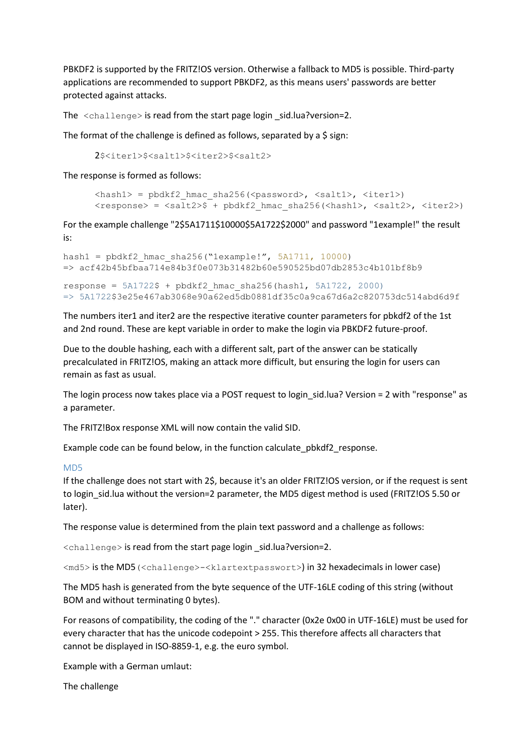PBKDF2 is supported by the FRITZ!OS version. Otherwise a fallback to MD5 is possible. Third-party applications are recommended to support PBKDF2, as this means users' passwords are better protected against attacks.

The  $\langle$ challenge $\rangle$  is read from the start page login sid.lua?version=2.

The format of the challenge is defined as follows, separated by a \$ sign:

2\$<iter1>\$<salt1>\$<iter2>\$<salt2>

The response is formed as follows:

```
\langle \text{hash1} \rangle = pbdkf2 hmac sha256(\langle \text{password} \rangle, \langle \text{salt1} \rangle, \langle \text{iter1} \rangle)
<response> = <salt2>$ + pbdkf2 hmac sha256(<hash1>, <salt2>, <iter2>)
```
For the example challenge "2\$5A1711\$10000\$5A1722\$2000" and password "1example!" the result is:

```
hash1 = \text{pbdkf2 hmac sha256("lexample!"}, 5A1711, 10000)=> acf42b45bfbaa714e84b3f0e073b31482b60e590525bd07db2853c4b101bf8b9
response = 5A1722$ + pbdkf2 hmac sha256(hash1, 5A1722, 2000)
```
=> 5A1722\$3e25e467ab3068e90a62ed5db0881df35c0a9ca67d6a2c820753dc514abd6d9f

The numbers iter1 and iter2 are the respective iterative counter parameters for pbkdf2 of the 1st and 2nd round. These are kept variable in order to make the login via PBKDF2 future-proof.

Due to the double hashing, each with a different salt, part of the answer can be statically precalculated in FRITZ!OS, making an attack more difficult, but ensuring the login for users can remain as fast as usual.

The login process now takes place via a POST request to login sid.lua? Version = 2 with "response" as a parameter.

The FRITZ!Box response XML will now contain the valid SID.

Example code can be found below, in the function calculate\_pbkdf2\_response.

#### MD5

If the challenge does not start with 2\$, because it's an older FRITZ!OS version, or if the request is sent to login sid.lua without the version=2 parameter, the MD5 digest method is used (FRITZ!OS 5.50 or later).

The response value is determined from the plain text password and a challenge as follows:

<challenge> is read from the start page login \_sid.lua?version=2.

<md5> is the MD5(<challenge>-<klartextpasswort>) in 32 hexadecimals in lower case)

The MD5 hash is generated from the byte sequence of the UTF-16LE coding of this string (without BOM and without terminating 0 bytes).

For reasons of compatibility, the coding of the "." character (0x2e 0x00 in UTF-16LE) must be used for every character that has the unicode codepoint > 255. This therefore affects all characters that cannot be displayed in ISO-8859-1, e.g. the euro symbol.

Example with a German umlaut:

The challenge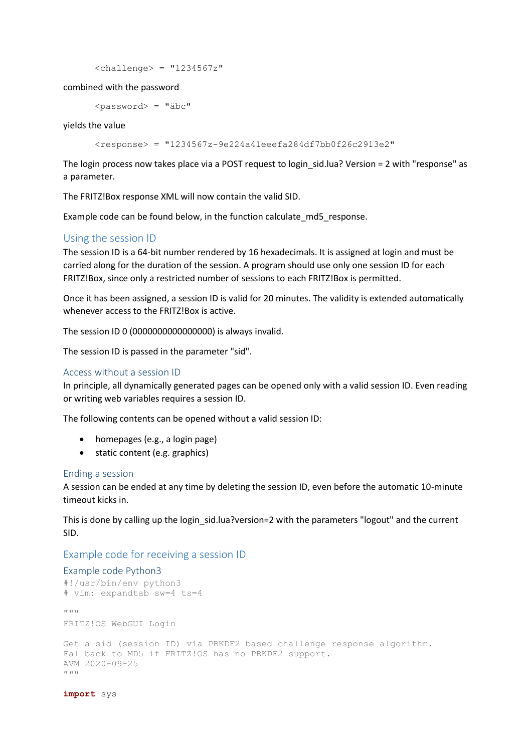```
<challenge> = "1234567z"
```
combined with the password

<password> = "äbc"

yields the value

 $<$ response> = "1234567z-9e224a41eeefa284df7bb0f26c2913e2"

The login process now takes place via a POST request to login sid.lua? Version = 2 with "response" as a parameter.

The FRITZ!Box response XML will now contain the valid SID.

Example code can be found below, in the function calculate md5 response.

# Using the session ID

The session ID is a 64-bit number rendered by 16 hexadecimals. It is assigned at login and must be carried along for the duration of the session. A program should use only one session ID for each FRITZ!Box, since only a restricted number of sessions to each FRITZ!Box is permitted.

Once it has been assigned, a session ID is valid for 20 minutes. The validity is extended automatically whenever access to the FRITZ!Box is active.

The session ID 0 (0000000000000000) is always invalid.

The session ID is passed in the parameter "sid".

#### Access without a session ID

In principle, all dynamically generated pages can be opened only with a valid session ID. Even reading or writing web variables requires a session ID.

The following contents can be opened without a valid session ID:

- homepages (e.g., a login page)
- static content (e.g. graphics)

#### Ending a session

A session can be ended at any time by deleting the session ID, even before the automatic 10-minute timeout kicks in.

This is done by calling up the login sid.lua?version=2 with the parameters "logout" and the current SID.

# Example code for receiving a session ID

#### Example code Python3

```
#!/usr/bin/env python3
# vim: expandtab sw=4 ts=4
"" ""
FRITZ!OS WebGUI Login
Get a sid (session ID) via PBKDF2 based challenge response algorithm.
Fallback to MD5 if FRITZ!OS has no PBKDF2 support.
AVM 2020-09-25
"" ""
```
**import** sys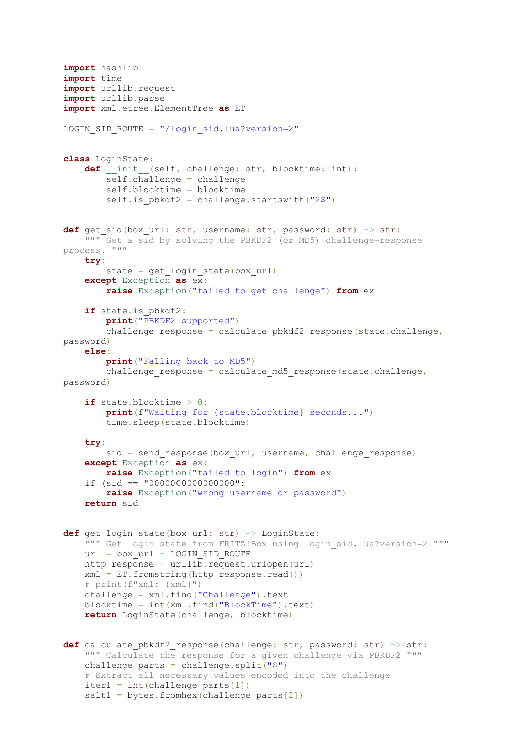```
import hashlib
import time
import urllib.request
import urllib.parse
import xml.etree.ElementTree as ET
LOGIN SID ROUTE = "/login sid.lua?version=2"
class LoginState:
     def __init__(self, challenge: str, blocktime: int):
         self.challenge = challenge
         self.blocktime = blocktime
        self.is pbkdf2 = challenge.startswith("2$")def get sid(box url: str, username: str, password: str) -> str:
     """ Get a sid by solving the PBKDF2 (or MD5) challenge-response 
process. """
     try:
        state = get login state(box url)
     except Exception as ex:
         raise Exception("failed to get challenge") from ex
     if state.is_pbkdf2:
         print("PBKDF2 supported")
        challenge response = calculate pbkdf2 response(state.challenge,
password)
     else:
         print("Falling back to MD5")
        challenge response = calculate md5 response(state.challenge,
password)
     if state.blocktime > 0:
         print(f"Waiting for {state.blocktime} seconds...")
         time.sleep(state.blocktime)
     try:
        sid = send response(box url, username, challenge response)
     except Exception as ex:
         raise Exception("failed to login") from ex
     if (sid == "0000000000000000":
         raise Exception("wrong username or password")
     return sid
def get login state(box url: str) -> LoginState:
     """ Get login state from FRITZ!Box using login_sid.lua?version=2 """
    url = box url + LOGIN SID ROUTE
    http response = urllib.request.urlopen(url)
    xml = ET.fromstring(http response.read()) # print(f"xml: {xml}")
     challenge = xml.find("Challenge").text
     blocktime = int(xml.find("BlockTime").text)
     return LoginState(challenge, blocktime)
def calculate pbkdf2 response(challenge: str, password: str) \rightarrow str:
     """ Calculate the response for a given challenge via PBKDF2 """
    challenge parts = challenge.split("$") # Extract all necessary values encoded into the challenge
    iter1 = int(challenge parts[1])salt1 = bytes.fromhex(challenge parts[2])
```